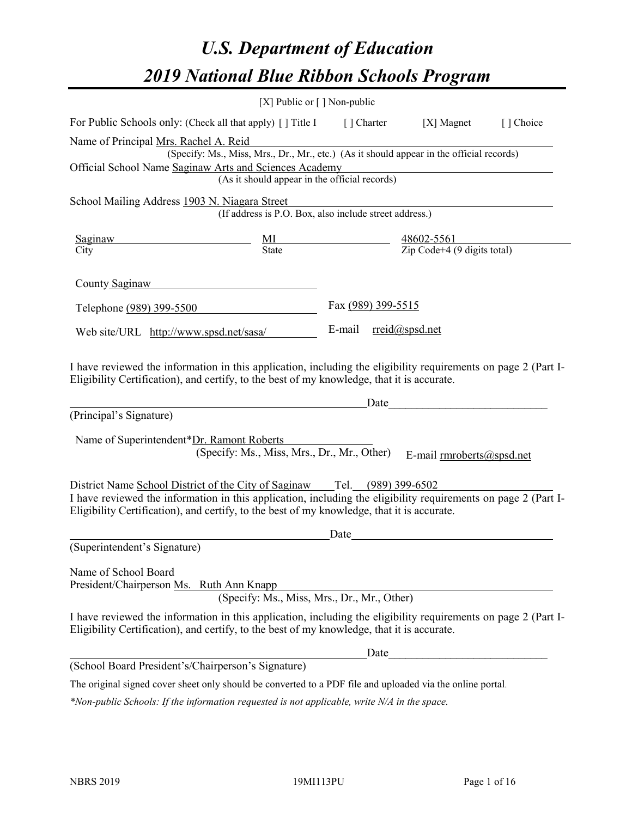# *U.S. Department of Education 2019 National Blue Ribbon Schools Program*

|                                                                                                                                                                                                              | [X] Public or [] Non-public                                                              |                    |                                                                                                                                                                                                                               |           |
|--------------------------------------------------------------------------------------------------------------------------------------------------------------------------------------------------------------|------------------------------------------------------------------------------------------|--------------------|-------------------------------------------------------------------------------------------------------------------------------------------------------------------------------------------------------------------------------|-----------|
| For Public Schools only: (Check all that apply) [] Title I [] Charter                                                                                                                                        |                                                                                          |                    | [X] Magnet                                                                                                                                                                                                                    | [] Choice |
| Name of Principal Mrs. Rachel A. Reid                                                                                                                                                                        |                                                                                          |                    |                                                                                                                                                                                                                               |           |
|                                                                                                                                                                                                              | (Specify: Ms., Miss, Mrs., Dr., Mr., etc.) (As it should appear in the official records) |                    |                                                                                                                                                                                                                               |           |
| Official School Name Saginaw Arts and Sciences Academy                                                                                                                                                       |                                                                                          |                    |                                                                                                                                                                                                                               |           |
|                                                                                                                                                                                                              | (As it should appear in the official records)                                            |                    |                                                                                                                                                                                                                               |           |
| School Mailing Address 1903 N. Niagara Street                                                                                                                                                                |                                                                                          |                    |                                                                                                                                                                                                                               |           |
|                                                                                                                                                                                                              | (If address is P.O. Box, also include street address.)                                   |                    |                                                                                                                                                                                                                               |           |
| Saginaw                                                                                                                                                                                                      |                                                                                          |                    |                                                                                                                                                                                                                               |           |
| City                                                                                                                                                                                                         | $\frac{MI}{State}$                                                                       |                    | $\frac{48602 - 5561}{\text{Zip Code} + 4 (9 \text{ digits total})}$                                                                                                                                                           |           |
|                                                                                                                                                                                                              |                                                                                          |                    |                                                                                                                                                                                                                               |           |
| County Saginaw                                                                                                                                                                                               |                                                                                          |                    |                                                                                                                                                                                                                               |           |
| Telephone (989) 399-5500                                                                                                                                                                                     |                                                                                          | Fax (989) 399-5515 |                                                                                                                                                                                                                               |           |
|                                                                                                                                                                                                              |                                                                                          |                    | E-mail rreid@spsd.net                                                                                                                                                                                                         |           |
| Web site/URL http://www.spsd.net/sasa/                                                                                                                                                                       |                                                                                          |                    |                                                                                                                                                                                                                               |           |
| (Principal's Signature)<br>Name of Superintendent*Dr. Ramont Roberts                                                                                                                                         | (Specify: Ms., Miss, Mrs., Dr., Mr., Other)                                              |                    | Date and the set of the set of the set of the set of the set of the set of the set of the set of the set of the set of the set of the set of the set of the set of the set of the set of the set of the set of the set of the |           |
|                                                                                                                                                                                                              |                                                                                          |                    | E-mail rmroberts@spsd.net                                                                                                                                                                                                     |           |
| District Name School District of the City of Saginaw Tel. (989) 399-6502                                                                                                                                     |                                                                                          |                    |                                                                                                                                                                                                                               |           |
| I have reviewed the information in this application, including the eligibility requirements on page 2 (Part I-<br>Eligibility Certification), and certify, to the best of my knowledge, that it is accurate. |                                                                                          |                    |                                                                                                                                                                                                                               |           |
|                                                                                                                                                                                                              |                                                                                          | Date               |                                                                                                                                                                                                                               |           |
| (Superintendent's Signature)                                                                                                                                                                                 |                                                                                          |                    |                                                                                                                                                                                                                               |           |
| Name of School Board<br>President/Chairperson Ms. Ruth Ann Knapp                                                                                                                                             | (Specify: Ms., Miss, Mrs., Dr., Mr., Other)                                              |                    |                                                                                                                                                                                                                               |           |
| I have reviewed the information in this application, including the eligibility requirements on page 2 (Part I-<br>Eligibility Certification), and certify, to the best of my knowledge, that it is accurate. |                                                                                          |                    |                                                                                                                                                                                                                               |           |
|                                                                                                                                                                                                              |                                                                                          |                    | Date                                                                                                                                                                                                                          |           |
| (School Board President's/Chairperson's Signature)                                                                                                                                                           |                                                                                          |                    |                                                                                                                                                                                                                               |           |
| The original signed cover sheet only should be converted to a PDF file and uploaded via the online portal.                                                                                                   |                                                                                          |                    |                                                                                                                                                                                                                               |           |

*\*Non-public Schools: If the information requested is not applicable, write N/A in the space.*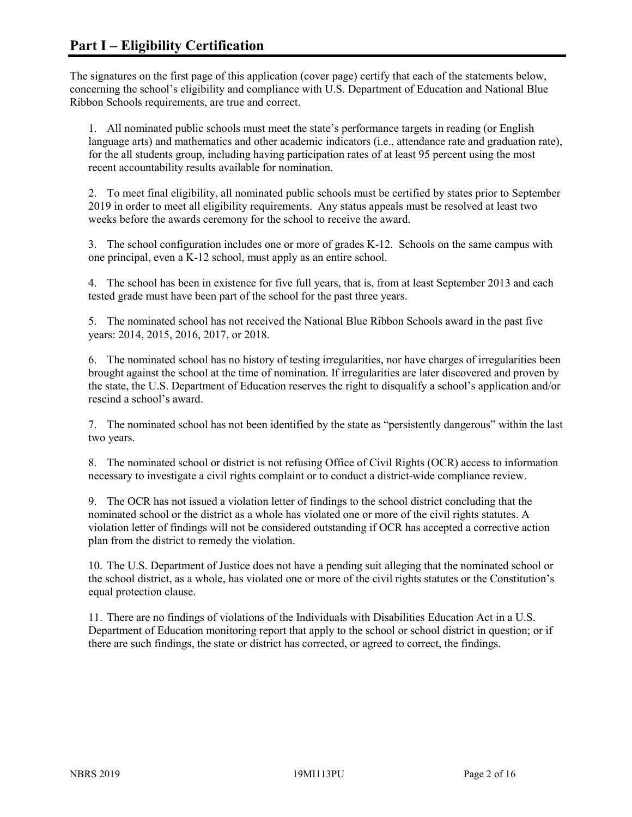The signatures on the first page of this application (cover page) certify that each of the statements below, concerning the school's eligibility and compliance with U.S. Department of Education and National Blue Ribbon Schools requirements, are true and correct.

1. All nominated public schools must meet the state's performance targets in reading (or English language arts) and mathematics and other academic indicators (i.e., attendance rate and graduation rate), for the all students group, including having participation rates of at least 95 percent using the most recent accountability results available for nomination.

2. To meet final eligibility, all nominated public schools must be certified by states prior to September 2019 in order to meet all eligibility requirements. Any status appeals must be resolved at least two weeks before the awards ceremony for the school to receive the award.

3. The school configuration includes one or more of grades K-12. Schools on the same campus with one principal, even a K-12 school, must apply as an entire school.

4. The school has been in existence for five full years, that is, from at least September 2013 and each tested grade must have been part of the school for the past three years.

5. The nominated school has not received the National Blue Ribbon Schools award in the past five years: 2014, 2015, 2016, 2017, or 2018.

6. The nominated school has no history of testing irregularities, nor have charges of irregularities been brought against the school at the time of nomination. If irregularities are later discovered and proven by the state, the U.S. Department of Education reserves the right to disqualify a school's application and/or rescind a school's award.

7. The nominated school has not been identified by the state as "persistently dangerous" within the last two years.

8. The nominated school or district is not refusing Office of Civil Rights (OCR) access to information necessary to investigate a civil rights complaint or to conduct a district-wide compliance review.

9. The OCR has not issued a violation letter of findings to the school district concluding that the nominated school or the district as a whole has violated one or more of the civil rights statutes. A violation letter of findings will not be considered outstanding if OCR has accepted a corrective action plan from the district to remedy the violation.

10. The U.S. Department of Justice does not have a pending suit alleging that the nominated school or the school district, as a whole, has violated one or more of the civil rights statutes or the Constitution's equal protection clause.

11. There are no findings of violations of the Individuals with Disabilities Education Act in a U.S. Department of Education monitoring report that apply to the school or school district in question; or if there are such findings, the state or district has corrected, or agreed to correct, the findings.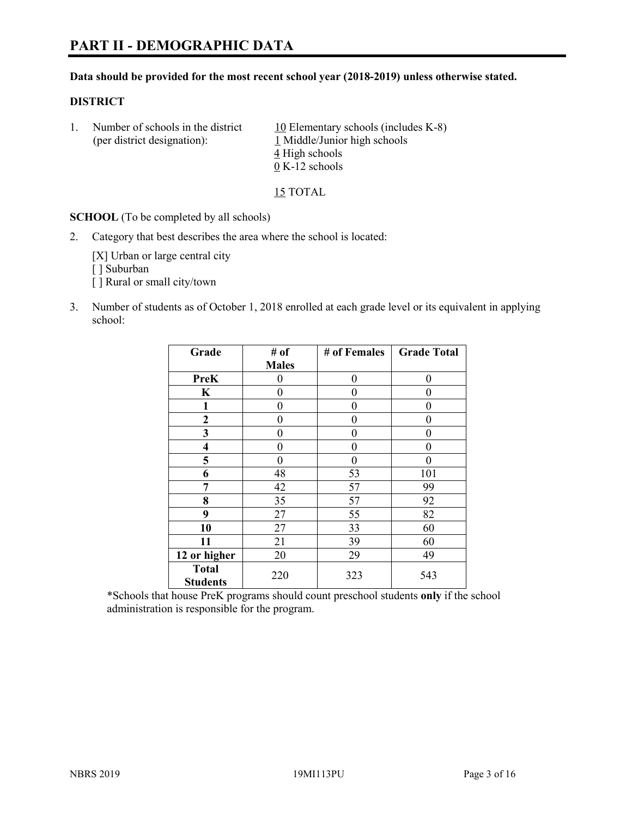#### **Data should be provided for the most recent school year (2018-2019) unless otherwise stated.**

#### **DISTRICT**

1. Number of schools in the district  $10$  Elementary schools (includes K-8) (per district designation): 1 Middle/Junior high schools 4 High schools 0 K-12 schools

15 TOTAL

**SCHOOL** (To be completed by all schools)

2. Category that best describes the area where the school is located:

[X] Urban or large central city [ ] Suburban [] Rural or small city/town

3. Number of students as of October 1, 2018 enrolled at each grade level or its equivalent in applying school:

| Grade                           | # of         | # of Females | <b>Grade Total</b> |
|---------------------------------|--------------|--------------|--------------------|
|                                 | <b>Males</b> |              |                    |
| PreK                            | 0            | $\theta$     | 0                  |
| $\mathbf K$                     | 0            | $\theta$     | 0                  |
| 1                               | 0            | $\theta$     | 0                  |
| 2                               | 0            | $\theta$     | 0                  |
| 3                               | 0            | 0            | 0                  |
| $\overline{\mathbf{4}}$         | 0            | $\theta$     | 0                  |
| 5                               | 0            | $\theta$     | 0                  |
| 6                               | 48           | 53           | 101                |
| 7                               | 42           | 57           | 99                 |
| 8                               | 35           | 57           | 92                 |
| 9                               | 27           | 55           | 82                 |
| 10                              | 27           | 33           | 60                 |
| 11                              | 21           | 39           | 60                 |
| 12 or higher                    | 20           | 29           | 49                 |
| <b>Total</b><br><b>Students</b> | 220          | 323          | 543                |

\*Schools that house PreK programs should count preschool students **only** if the school administration is responsible for the program.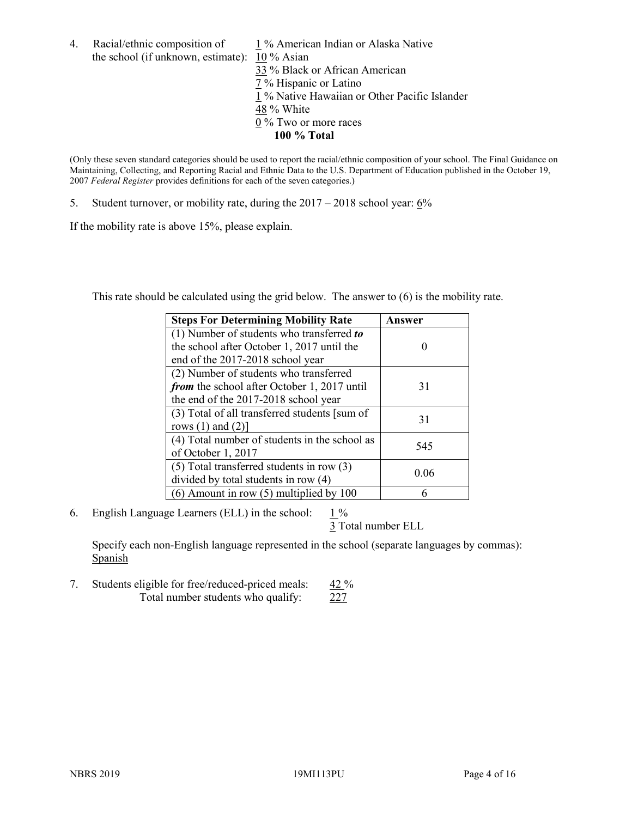4. Racial/ethnic composition of  $1\%$  American Indian or Alaska Native the school (if unknown, estimate): 10 % Asian

 % Black or African American % Hispanic or Latino % Native Hawaiian or Other Pacific Islander 48 % White % Two or more races **100 % Total**

(Only these seven standard categories should be used to report the racial/ethnic composition of your school. The Final Guidance on Maintaining, Collecting, and Reporting Racial and Ethnic Data to the U.S. Department of Education published in the October 19, 2007 *Federal Register* provides definitions for each of the seven categories.)

5. Student turnover, or mobility rate, during the 2017 – 2018 school year: 6%

If the mobility rate is above 15%, please explain.

This rate should be calculated using the grid below. The answer to (6) is the mobility rate.

| <b>Steps For Determining Mobility Rate</b>    | Answer |
|-----------------------------------------------|--------|
| (1) Number of students who transferred to     |        |
| the school after October 1, 2017 until the    |        |
| end of the 2017-2018 school year              |        |
| (2) Number of students who transferred        |        |
| from the school after October 1, 2017 until   | 31     |
| the end of the 2017-2018 school year          |        |
| (3) Total of all transferred students [sum of | 31     |
| rows $(1)$ and $(2)$ ]                        |        |
| (4) Total number of students in the school as |        |
| of October 1, 2017                            | 545    |
| $(5)$ Total transferred students in row $(3)$ |        |
| divided by total students in row (4)          | 0.06   |
| $(6)$ Amount in row $(5)$ multiplied by 100   |        |

6. English Language Learners (ELL) in the school:  $1\%$ 

3 Total number ELL

Specify each non-English language represented in the school (separate languages by commas): **Spanish** 

7. Students eligible for free/reduced-priced meals: 42 % Total number students who qualify: 227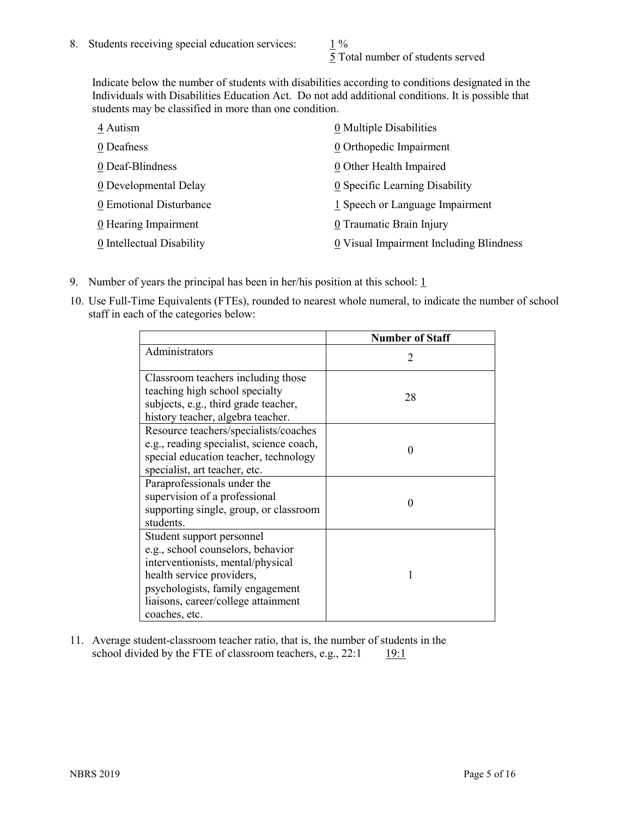5 Total number of students served

Indicate below the number of students with disabilities according to conditions designated in the Individuals with Disabilities Education Act. Do not add additional conditions. It is possible that students may be classified in more than one condition.

| 4 Autism                  | 0 Multiple Disabilities                 |
|---------------------------|-----------------------------------------|
| 0 Deafness                | $\underline{0}$ Orthopedic Impairment   |
| 0 Deaf-Blindness          | 0 Other Health Impaired                 |
| 0 Developmental Delay     | 0 Specific Learning Disability          |
| 0 Emotional Disturbance   | 1 Speech or Language Impairment         |
| 0 Hearing Impairment      | 0 Traumatic Brain Injury                |
| 0 Intellectual Disability | 0 Visual Impairment Including Blindness |

- 9. Number of years the principal has been in her/his position at this school:  $1$
- 10. Use Full-Time Equivalents (FTEs), rounded to nearest whole numeral, to indicate the number of school staff in each of the categories below:

|                                                                                                                                                                                                                              | <b>Number of Staff</b>      |
|------------------------------------------------------------------------------------------------------------------------------------------------------------------------------------------------------------------------------|-----------------------------|
| Administrators                                                                                                                                                                                                               | $\mathcal{D}_{\mathcal{A}}$ |
| Classroom teachers including those<br>teaching high school specialty<br>subjects, e.g., third grade teacher,<br>history teacher, algebra teacher.                                                                            | 28                          |
| Resource teachers/specialists/coaches<br>e.g., reading specialist, science coach,<br>special education teacher, technology<br>specialist, art teacher, etc.                                                                  | 0                           |
| Paraprofessionals under the<br>supervision of a professional<br>supporting single, group, or classroom<br>students.                                                                                                          | $\mathbf{\Omega}$           |
| Student support personnel<br>e.g., school counselors, behavior<br>interventionists, mental/physical<br>health service providers,<br>psychologists, family engagement<br>liaisons, career/college attainment<br>coaches, etc. |                             |

11. Average student-classroom teacher ratio, that is, the number of students in the school divided by the FTE of classroom teachers, e.g.,  $22:1$  19:1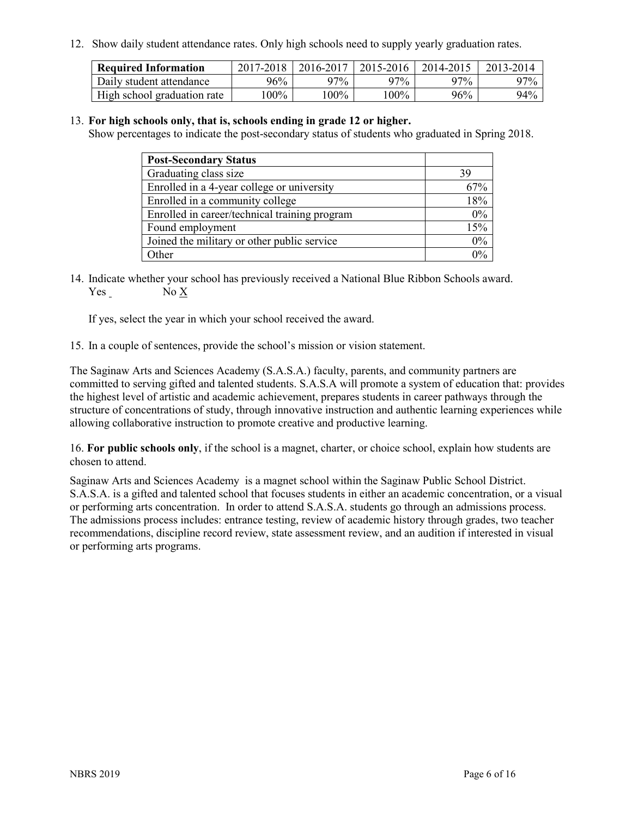12. Show daily student attendance rates. Only high schools need to supply yearly graduation rates.

| <b>Required Information</b> | 2017-2018 | 2016-2017 | 2015-2016 | 2014-2015 | 2013-2014 |
|-----------------------------|-----------|-----------|-----------|-----------|-----------|
| Daily student attendance    | 96%       | 97%       | 97%       | 97%       | 97%       |
| High school graduation rate | $00\%$    | $00\%$    | $00\%$    | 96%       | 94%       |

#### 13. **For high schools only, that is, schools ending in grade 12 or higher.**

Show percentages to indicate the post-secondary status of students who graduated in Spring 2018.

| <b>Post-Secondary Status</b>                  |       |
|-----------------------------------------------|-------|
| Graduating class size                         | 39    |
| Enrolled in a 4-year college or university    | 67%   |
| Enrolled in a community college               | 18%   |
| Enrolled in career/technical training program | 0%    |
| Found employment                              | 15%   |
| Joined the military or other public service   | 0%    |
| Other                                         | $0\%$ |

14. Indicate whether your school has previously received a National Blue Ribbon Schools award. Yes No X

If yes, select the year in which your school received the award.

15. In a couple of sentences, provide the school's mission or vision statement.

The Saginaw Arts and Sciences Academy (S.A.S.A.) faculty, parents, and community partners are committed to serving gifted and talented students. S.A.S.A will promote a system of education that: provides the highest level of artistic and academic achievement, prepares students in career pathways through the structure of concentrations of study, through innovative instruction and authentic learning experiences while allowing collaborative instruction to promote creative and productive learning.

16. **For public schools only**, if the school is a magnet, charter, or choice school, explain how students are chosen to attend.

Saginaw Arts and Sciences Academy is a magnet school within the Saginaw Public School District. S.A.S.A. is a gifted and talented school that focuses students in either an academic concentration, or a visual or performing arts concentration. In order to attend S.A.S.A. students go through an admissions process. The admissions process includes: entrance testing, review of academic history through grades, two teacher recommendations, discipline record review, state assessment review, and an audition if interested in visual or performing arts programs.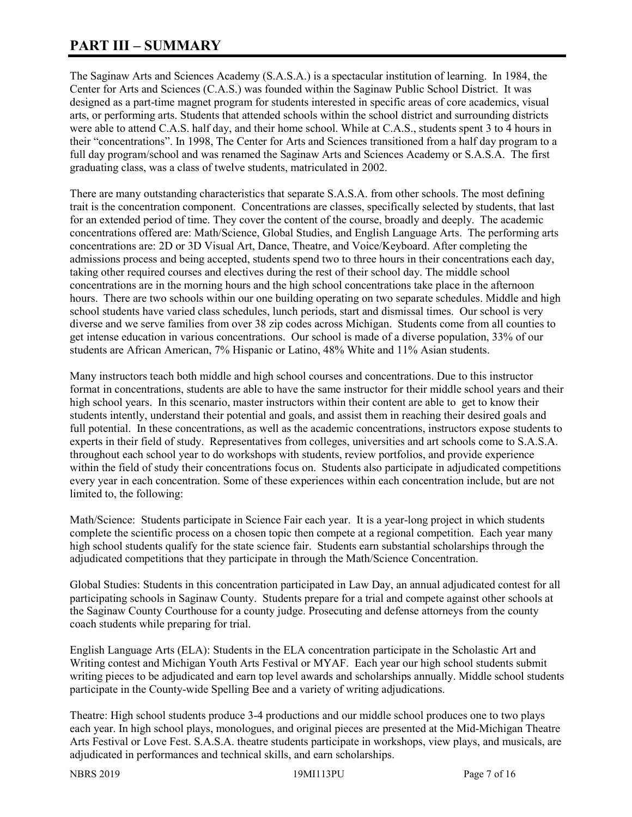# **PART III – SUMMARY**

The Saginaw Arts and Sciences Academy (S.A.S.A.) is a spectacular institution of learning. In 1984, the Center for Arts and Sciences (C.A.S.) was founded within the Saginaw Public School District. It was designed as a part-time magnet program for students interested in specific areas of core academics, visual arts, or performing arts. Students that attended schools within the school district and surrounding districts were able to attend C.A.S. half day, and their home school. While at C.A.S., students spent 3 to 4 hours in their "concentrations". In 1998, The Center for Arts and Sciences transitioned from a half day program to a full day program/school and was renamed the Saginaw Arts and Sciences Academy or S.A.S.A. The first graduating class, was a class of twelve students, matriculated in 2002.

There are many outstanding characteristics that separate S.A.S.A. from other schools. The most defining trait is the concentration component. Concentrations are classes, specifically selected by students, that last for an extended period of time. They cover the content of the course, broadly and deeply. The academic concentrations offered are: Math/Science, Global Studies, and English Language Arts. The performing arts concentrations are: 2D or 3D Visual Art, Dance, Theatre, and Voice/Keyboard. After completing the admissions process and being accepted, students spend two to three hours in their concentrations each day, taking other required courses and electives during the rest of their school day. The middle school concentrations are in the morning hours and the high school concentrations take place in the afternoon hours. There are two schools within our one building operating on two separate schedules. Middle and high school students have varied class schedules, lunch periods, start and dismissal times. Our school is very diverse and we serve families from over 38 zip codes across Michigan. Students come from all counties to get intense education in various concentrations. Our school is made of a diverse population, 33% of our students are African American, 7% Hispanic or Latino, 48% White and 11% Asian students.

Many instructors teach both middle and high school courses and concentrations. Due to this instructor format in concentrations, students are able to have the same instructor for their middle school years and their high school years. In this scenario, master instructors within their content are able to get to know their students intently, understand their potential and goals, and assist them in reaching their desired goals and full potential. In these concentrations, as well as the academic concentrations, instructors expose students to experts in their field of study. Representatives from colleges, universities and art schools come to S.A.S.A. throughout each school year to do workshops with students, review portfolios, and provide experience within the field of study their concentrations focus on. Students also participate in adjudicated competitions every year in each concentration. Some of these experiences within each concentration include, but are not limited to, the following:

Math/Science: Students participate in Science Fair each year. It is a year-long project in which students complete the scientific process on a chosen topic then compete at a regional competition. Each year many high school students qualify for the state science fair. Students earn substantial scholarships through the adjudicated competitions that they participate in through the Math/Science Concentration.

Global Studies: Students in this concentration participated in Law Day, an annual adjudicated contest for all participating schools in Saginaw County. Students prepare for a trial and compete against other schools at the Saginaw County Courthouse for a county judge. Prosecuting and defense attorneys from the county coach students while preparing for trial.

English Language Arts (ELA): Students in the ELA concentration participate in the Scholastic Art and Writing contest and Michigan Youth Arts Festival or MYAF. Each year our high school students submit writing pieces to be adjudicated and earn top level awards and scholarships annually. Middle school students participate in the County-wide Spelling Bee and a variety of writing adjudications.

Theatre: High school students produce 3-4 productions and our middle school produces one to two plays each year. In high school plays, monologues, and original pieces are presented at the Mid-Michigan Theatre Arts Festival or Love Fest. S.A.S.A. theatre students participate in workshops, view plays, and musicals, are adjudicated in performances and technical skills, and earn scholarships.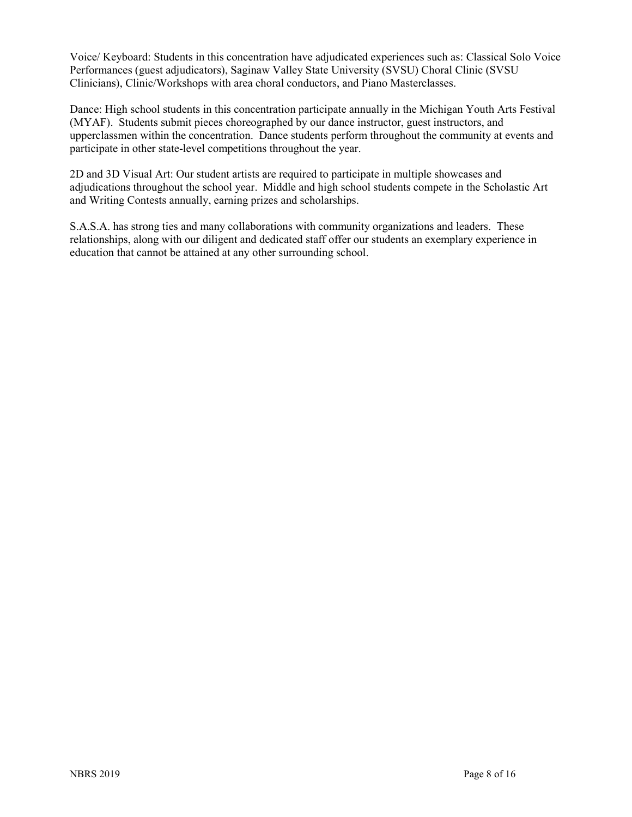Voice/ Keyboard: Students in this concentration have adjudicated experiences such as: Classical Solo Voice Performances (guest adjudicators), Saginaw Valley State University (SVSU) Choral Clinic (SVSU Clinicians), Clinic/Workshops with area choral conductors, and Piano Masterclasses.

Dance: High school students in this concentration participate annually in the Michigan Youth Arts Festival (MYAF). Students submit pieces choreographed by our dance instructor, guest instructors, and upperclassmen within the concentration. Dance students perform throughout the community at events and participate in other state-level competitions throughout the year.

2D and 3D Visual Art: Our student artists are required to participate in multiple showcases and adjudications throughout the school year. Middle and high school students compete in the Scholastic Art and Writing Contests annually, earning prizes and scholarships.

S.A.S.A. has strong ties and many collaborations with community organizations and leaders. These relationships, along with our diligent and dedicated staff offer our students an exemplary experience in education that cannot be attained at any other surrounding school.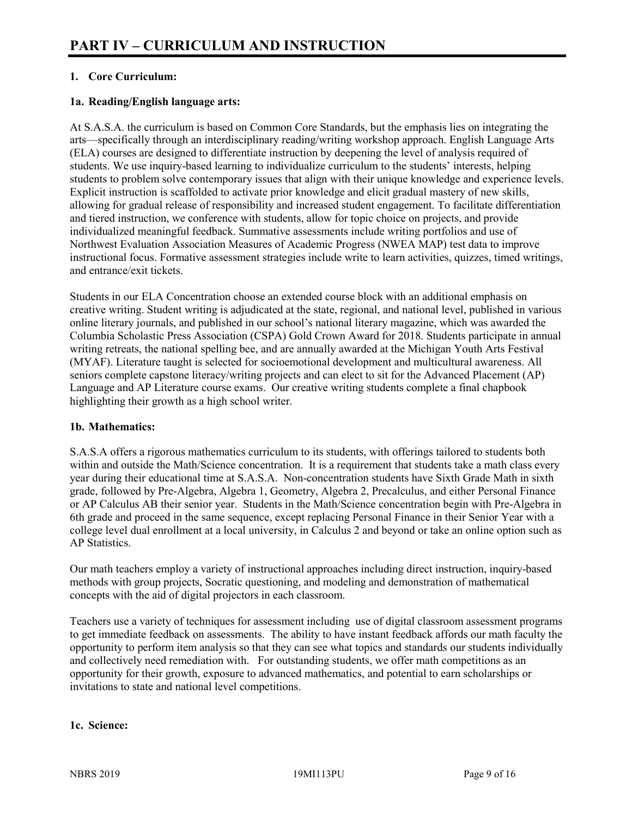# **1. Core Curriculum:**

# **1a. Reading/English language arts:**

At S.A.S.A. the curriculum is based on Common Core Standards, but the emphasis lies on integrating the arts—specifically through an interdisciplinary reading/writing workshop approach. English Language Arts (ELA) courses are designed to differentiate instruction by deepening the level of analysis required of students. We use inquiry-based learning to individualize curriculum to the students' interests, helping students to problem solve contemporary issues that align with their unique knowledge and experience levels. Explicit instruction is scaffolded to activate prior knowledge and elicit gradual mastery of new skills, allowing for gradual release of responsibility and increased student engagement. To facilitate differentiation and tiered instruction, we conference with students, allow for topic choice on projects, and provide individualized meaningful feedback. Summative assessments include writing portfolios and use of Northwest Evaluation Association Measures of Academic Progress (NWEA MAP) test data to improve instructional focus. Formative assessment strategies include write to learn activities, quizzes, timed writings, and entrance/exit tickets.

Students in our ELA Concentration choose an extended course block with an additional emphasis on creative writing. Student writing is adjudicated at the state, regional, and national level, published in various online literary journals, and published in our school's national literary magazine, which was awarded the Columbia Scholastic Press Association (CSPA) Gold Crown Award for 2018. Students participate in annual writing retreats, the national spelling bee, and are annually awarded at the Michigan Youth Arts Festival (MYAF). Literature taught is selected for socioemotional development and multicultural awareness. All seniors complete capstone literacy/writing projects and can elect to sit for the Advanced Placement (AP) Language and AP Literature course exams. Our creative writing students complete a final chapbook highlighting their growth as a high school writer.

#### **1b. Mathematics:**

S.A.S.A offers a rigorous mathematics curriculum to its students, with offerings tailored to students both within and outside the Math/Science concentration. It is a requirement that students take a math class every year during their educational time at S.A.S.A. Non-concentration students have Sixth Grade Math in sixth grade, followed by Pre-Algebra, Algebra 1, Geometry, Algebra 2, Precalculus, and either Personal Finance or AP Calculus AB their senior year. Students in the Math/Science concentration begin with Pre-Algebra in 6th grade and proceed in the same sequence, except replacing Personal Finance in their Senior Year with a college level dual enrollment at a local university, in Calculus 2 and beyond or take an online option such as AP Statistics.

Our math teachers employ a variety of instructional approaches including direct instruction, inquiry-based methods with group projects, Socratic questioning, and modeling and demonstration of mathematical concepts with the aid of digital projectors in each classroom.

Teachers use a variety of techniques for assessment including use of digital classroom assessment programs to get immediate feedback on assessments. The ability to have instant feedback affords our math faculty the opportunity to perform item analysis so that they can see what topics and standards our students individually and collectively need remediation with. For outstanding students, we offer math competitions as an opportunity for their growth, exposure to advanced mathematics, and potential to earn scholarships or invitations to state and national level competitions.

#### **1c. Science:**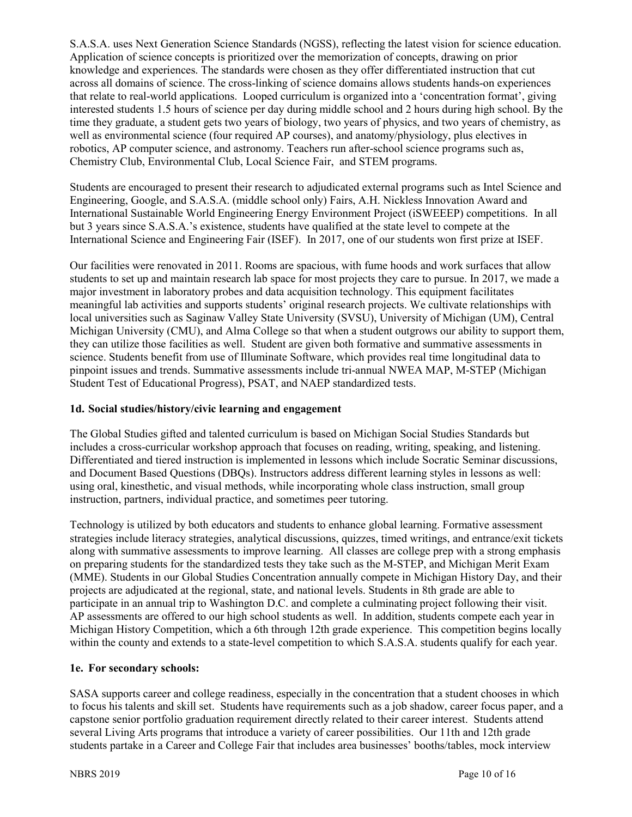S.A.S.A. uses Next Generation Science Standards (NGSS), reflecting the latest vision for science education. Application of science concepts is prioritized over the memorization of concepts, drawing on prior knowledge and experiences. The standards were chosen as they offer differentiated instruction that cut across all domains of science. The cross-linking of science domains allows students hands-on experiences that relate to real-world applications. Looped curriculum is organized into a 'concentration format', giving interested students 1.5 hours of science per day during middle school and 2 hours during high school. By the time they graduate, a student gets two years of biology, two years of physics, and two years of chemistry, as well as environmental science (four required AP courses), and anatomy/physiology, plus electives in robotics, AP computer science, and astronomy. Teachers run after-school science programs such as, Chemistry Club, Environmental Club, Local Science Fair, and STEM programs.

Students are encouraged to present their research to adjudicated external programs such as Intel Science and Engineering, Google, and S.A.S.A. (middle school only) Fairs, A.H. Nickless Innovation Award and International Sustainable World Engineering Energy Environment Project (iSWEEEP) competitions. In all but 3 years since S.A.S.A.'s existence, students have qualified at the state level to compete at the International Science and Engineering Fair (ISEF). In 2017, one of our students won first prize at ISEF.

Our facilities were renovated in 2011. Rooms are spacious, with fume hoods and work surfaces that allow students to set up and maintain research lab space for most projects they care to pursue. In 2017, we made a major investment in laboratory probes and data acquisition technology. This equipment facilitates meaningful lab activities and supports students' original research projects. We cultivate relationships with local universities such as Saginaw Valley State University (SVSU), University of Michigan (UM), Central Michigan University (CMU), and Alma College so that when a student outgrows our ability to support them, they can utilize those facilities as well. Student are given both formative and summative assessments in science. Students benefit from use of Illuminate Software, which provides real time longitudinal data to pinpoint issues and trends. Summative assessments include tri-annual NWEA MAP, M-STEP (Michigan Student Test of Educational Progress), PSAT, and NAEP standardized tests.

# **1d. Social studies/history/civic learning and engagement**

The Global Studies gifted and talented curriculum is based on Michigan Social Studies Standards but includes a cross-curricular workshop approach that focuses on reading, writing, speaking, and listening. Differentiated and tiered instruction is implemented in lessons which include Socratic Seminar discussions, and Document Based Questions (DBQs). Instructors address different learning styles in lessons as well: using oral, kinesthetic, and visual methods, while incorporating whole class instruction, small group instruction, partners, individual practice, and sometimes peer tutoring.

Technology is utilized by both educators and students to enhance global learning. Formative assessment strategies include literacy strategies, analytical discussions, quizzes, timed writings, and entrance/exit tickets along with summative assessments to improve learning. All classes are college prep with a strong emphasis on preparing students for the standardized tests they take such as the M-STEP, and Michigan Merit Exam (MME). Students in our Global Studies Concentration annually compete in Michigan History Day, and their projects are adjudicated at the regional, state, and national levels. Students in 8th grade are able to participate in an annual trip to Washington D.C. and complete a culminating project following their visit. AP assessments are offered to our high school students as well. In addition, students compete each year in Michigan History Competition, which a 6th through 12th grade experience. This competition begins locally within the county and extends to a state-level competition to which S.A.S.A. students qualify for each year.

# **1e. For secondary schools:**

SASA supports career and college readiness, especially in the concentration that a student chooses in which to focus his talents and skill set. Students have requirements such as a job shadow, career focus paper, and a capstone senior portfolio graduation requirement directly related to their career interest. Students attend several Living Arts programs that introduce a variety of career possibilities. Our 11th and 12th grade students partake in a Career and College Fair that includes area businesses' booths/tables, mock interview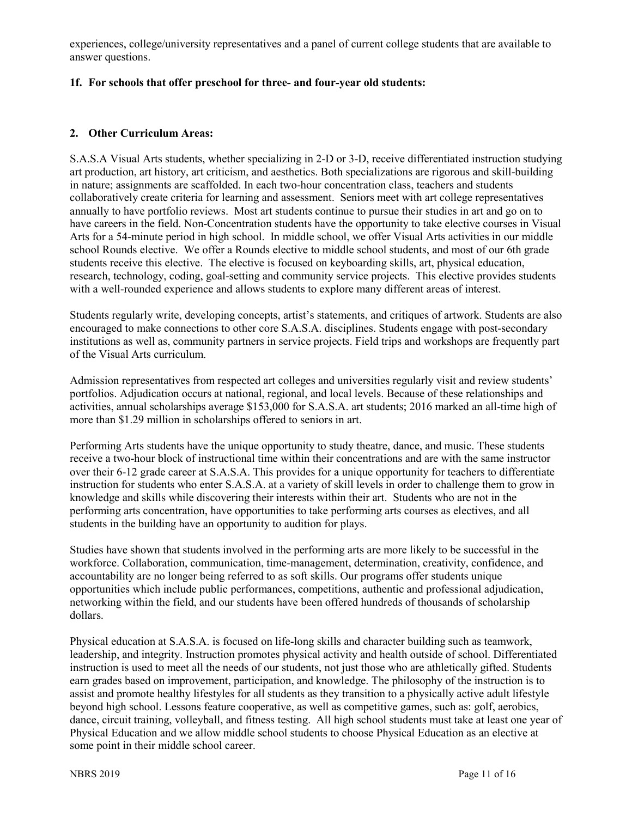experiences, college/university representatives and a panel of current college students that are available to answer questions.

# **1f. For schools that offer preschool for three- and four-year old students:**

# **2. Other Curriculum Areas:**

S.A.S.A Visual Arts students, whether specializing in 2-D or 3-D, receive differentiated instruction studying art production, art history, art criticism, and aesthetics. Both specializations are rigorous and skill-building in nature; assignments are scaffolded. In each two-hour concentration class, teachers and students collaboratively create criteria for learning and assessment. Seniors meet with art college representatives annually to have portfolio reviews. Most art students continue to pursue their studies in art and go on to have careers in the field. Non-Concentration students have the opportunity to take elective courses in Visual Arts for a 54-minute period in high school. In middle school, we offer Visual Arts activities in our middle school Rounds elective. We offer a Rounds elective to middle school students, and most of our 6th grade students receive this elective. The elective is focused on keyboarding skills, art, physical education, research, technology, coding, goal-setting and community service projects. This elective provides students with a well-rounded experience and allows students to explore many different areas of interest.

Students regularly write, developing concepts, artist's statements, and critiques of artwork. Students are also encouraged to make connections to other core S.A.S.A. disciplines. Students engage with post-secondary institutions as well as, community partners in service projects. Field trips and workshops are frequently part of the Visual Arts curriculum.

Admission representatives from respected art colleges and universities regularly visit and review students' portfolios. Adjudication occurs at national, regional, and local levels. Because of these relationships and activities, annual scholarships average \$153,000 for S.A.S.A. art students; 2016 marked an all-time high of more than \$1.29 million in scholarships offered to seniors in art.

Performing Arts students have the unique opportunity to study theatre, dance, and music. These students receive a two-hour block of instructional time within their concentrations and are with the same instructor over their 6-12 grade career at S.A.S.A. This provides for a unique opportunity for teachers to differentiate instruction for students who enter S.A.S.A. at a variety of skill levels in order to challenge them to grow in knowledge and skills while discovering their interests within their art. Students who are not in the performing arts concentration, have opportunities to take performing arts courses as electives, and all students in the building have an opportunity to audition for plays.

Studies have shown that students involved in the performing arts are more likely to be successful in the workforce. Collaboration, communication, time-management, determination, creativity, confidence, and accountability are no longer being referred to as soft skills. Our programs offer students unique opportunities which include public performances, competitions, authentic and professional adjudication, networking within the field, and our students have been offered hundreds of thousands of scholarship dollars.

Physical education at S.A.S.A. is focused on life-long skills and character building such as teamwork, leadership, and integrity. Instruction promotes physical activity and health outside of school. Differentiated instruction is used to meet all the needs of our students, not just those who are athletically gifted. Students earn grades based on improvement, participation, and knowledge. The philosophy of the instruction is to assist and promote healthy lifestyles for all students as they transition to a physically active adult lifestyle beyond high school. Lessons feature cooperative, as well as competitive games, such as: golf, aerobics, dance, circuit training, volleyball, and fitness testing. All high school students must take at least one year of Physical Education and we allow middle school students to choose Physical Education as an elective at some point in their middle school career.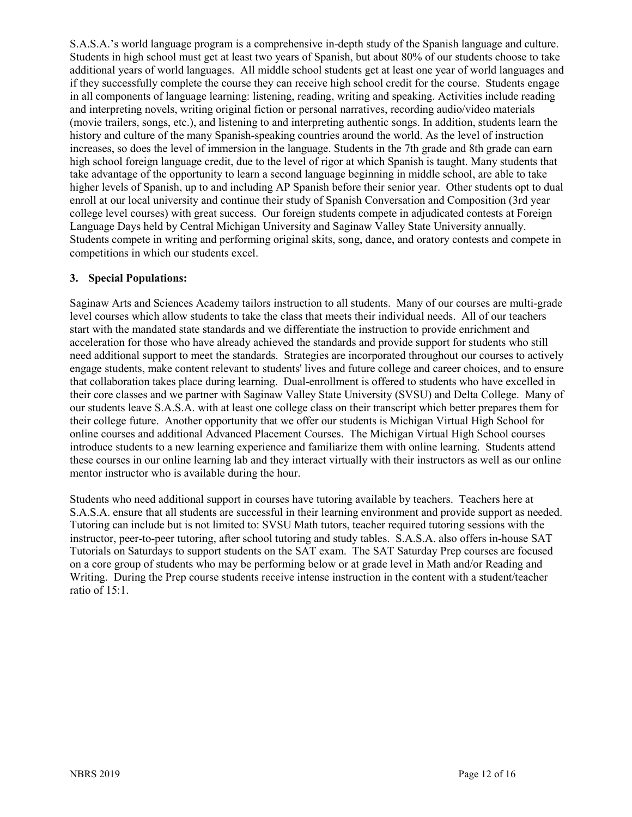S.A.S.A.'s world language program is a comprehensive in-depth study of the Spanish language and culture. Students in high school must get at least two years of Spanish, but about 80% of our students choose to take additional years of world languages. All middle school students get at least one year of world languages and if they successfully complete the course they can receive high school credit for the course. Students engage in all components of language learning: listening, reading, writing and speaking. Activities include reading and interpreting novels, writing original fiction or personal narratives, recording audio/video materials (movie trailers, songs, etc.), and listening to and interpreting authentic songs. In addition, students learn the history and culture of the many Spanish-speaking countries around the world. As the level of instruction increases, so does the level of immersion in the language. Students in the 7th grade and 8th grade can earn high school foreign language credit, due to the level of rigor at which Spanish is taught. Many students that take advantage of the opportunity to learn a second language beginning in middle school, are able to take higher levels of Spanish, up to and including AP Spanish before their senior year. Other students opt to dual enroll at our local university and continue their study of Spanish Conversation and Composition (3rd year college level courses) with great success. Our foreign students compete in adjudicated contests at Foreign Language Days held by Central Michigan University and Saginaw Valley State University annually. Students compete in writing and performing original skits, song, dance, and oratory contests and compete in competitions in which our students excel.

#### **3. Special Populations:**

Saginaw Arts and Sciences Academy tailors instruction to all students. Many of our courses are multi-grade level courses which allow students to take the class that meets their individual needs. All of our teachers start with the mandated state standards and we differentiate the instruction to provide enrichment and acceleration for those who have already achieved the standards and provide support for students who still need additional support to meet the standards. Strategies are incorporated throughout our courses to actively engage students, make content relevant to students' lives and future college and career choices, and to ensure that collaboration takes place during learning. Dual-enrollment is offered to students who have excelled in their core classes and we partner with Saginaw Valley State University (SVSU) and Delta College. Many of our students leave S.A.S.A. with at least one college class on their transcript which better prepares them for their college future. Another opportunity that we offer our students is Michigan Virtual High School for online courses and additional Advanced Placement Courses. The Michigan Virtual High School courses introduce students to a new learning experience and familiarize them with online learning. Students attend these courses in our online learning lab and they interact virtually with their instructors as well as our online mentor instructor who is available during the hour.

Students who need additional support in courses have tutoring available by teachers. Teachers here at S.A.S.A. ensure that all students are successful in their learning environment and provide support as needed. Tutoring can include but is not limited to: SVSU Math tutors, teacher required tutoring sessions with the instructor, peer-to-peer tutoring, after school tutoring and study tables. S.A.S.A. also offers in-house SAT Tutorials on Saturdays to support students on the SAT exam. The SAT Saturday Prep courses are focused on a core group of students who may be performing below or at grade level in Math and/or Reading and Writing. During the Prep course students receive intense instruction in the content with a student/teacher ratio of 15:1.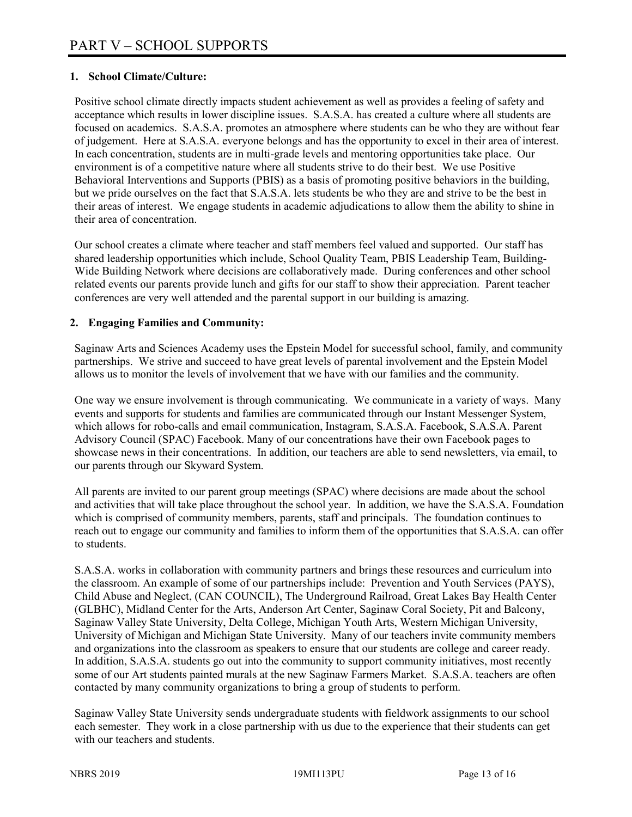# **1. School Climate/Culture:**

Positive school climate directly impacts student achievement as well as provides a feeling of safety and acceptance which results in lower discipline issues. S.A.S.A. has created a culture where all students are focused on academics. S.A.S.A. promotes an atmosphere where students can be who they are without fear of judgement. Here at S.A.S.A. everyone belongs and has the opportunity to excel in their area of interest. In each concentration, students are in multi-grade levels and mentoring opportunities take place. Our environment is of a competitive nature where all students strive to do their best. We use Positive Behavioral Interventions and Supports (PBIS) as a basis of promoting positive behaviors in the building, but we pride ourselves on the fact that S.A.S.A. lets students be who they are and strive to be the best in their areas of interest. We engage students in academic adjudications to allow them the ability to shine in their area of concentration.

Our school creates a climate where teacher and staff members feel valued and supported. Our staff has shared leadership opportunities which include, School Quality Team, PBIS Leadership Team, Building-Wide Building Network where decisions are collaboratively made. During conferences and other school related events our parents provide lunch and gifts for our staff to show their appreciation. Parent teacher conferences are very well attended and the parental support in our building is amazing.

#### **2. Engaging Families and Community:**

Saginaw Arts and Sciences Academy uses the Epstein Model for successful school, family, and community partnerships. We strive and succeed to have great levels of parental involvement and the Epstein Model allows us to monitor the levels of involvement that we have with our families and the community.

One way we ensure involvement is through communicating. We communicate in a variety of ways. Many events and supports for students and families are communicated through our Instant Messenger System, which allows for robo-calls and email communication, Instagram, S.A.S.A. Facebook, S.A.S.A. Parent Advisory Council (SPAC) Facebook. Many of our concentrations have their own Facebook pages to showcase news in their concentrations. In addition, our teachers are able to send newsletters, via email, to our parents through our Skyward System.

All parents are invited to our parent group meetings (SPAC) where decisions are made about the school and activities that will take place throughout the school year. In addition, we have the S.A.S.A. Foundation which is comprised of community members, parents, staff and principals. The foundation continues to reach out to engage our community and families to inform them of the opportunities that S.A.S.A. can offer to students.

S.A.S.A. works in collaboration with community partners and brings these resources and curriculum into the classroom. An example of some of our partnerships include: Prevention and Youth Services (PAYS), Child Abuse and Neglect, (CAN COUNCIL), The Underground Railroad, Great Lakes Bay Health Center (GLBHC), Midland Center for the Arts, Anderson Art Center, Saginaw Coral Society, Pit and Balcony, Saginaw Valley State University, Delta College, Michigan Youth Arts, Western Michigan University, University of Michigan and Michigan State University. Many of our teachers invite community members and organizations into the classroom as speakers to ensure that our students are college and career ready. In addition, S.A.S.A. students go out into the community to support community initiatives, most recently some of our Art students painted murals at the new Saginaw Farmers Market. S.A.S.A. teachers are often contacted by many community organizations to bring a group of students to perform.

Saginaw Valley State University sends undergraduate students with fieldwork assignments to our school each semester. They work in a close partnership with us due to the experience that their students can get with our teachers and students.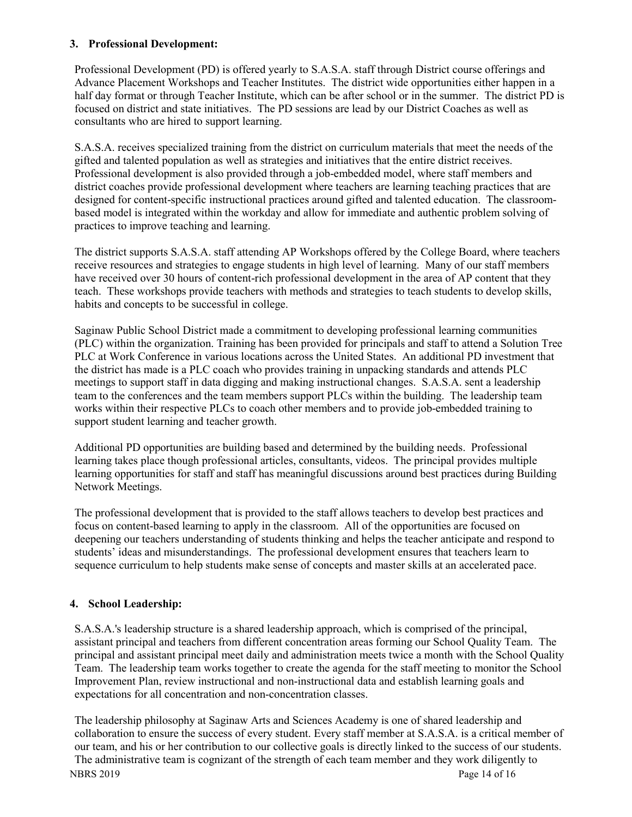#### **3. Professional Development:**

Professional Development (PD) is offered yearly to S.A.S.A. staff through District course offerings and Advance Placement Workshops and Teacher Institutes. The district wide opportunities either happen in a half day format or through Teacher Institute, which can be after school or in the summer. The district PD is focused on district and state initiatives. The PD sessions are lead by our District Coaches as well as consultants who are hired to support learning.

S.A.S.A. receives specialized training from the district on curriculum materials that meet the needs of the gifted and talented population as well as strategies and initiatives that the entire district receives. Professional development is also provided through a job-embedded model, where staff members and district coaches provide professional development where teachers are learning teaching practices that are designed for content-specific instructional practices around gifted and talented education. The classroombased model is integrated within the workday and allow for immediate and authentic problem solving of practices to improve teaching and learning.

The district supports S.A.S.A. staff attending AP Workshops offered by the College Board, where teachers receive resources and strategies to engage students in high level of learning. Many of our staff members have received over 30 hours of content-rich professional development in the area of AP content that they teach. These workshops provide teachers with methods and strategies to teach students to develop skills, habits and concepts to be successful in college.

Saginaw Public School District made a commitment to developing professional learning communities (PLC) within the organization. Training has been provided for principals and staff to attend a Solution Tree PLC at Work Conference in various locations across the United States. An additional PD investment that the district has made is a PLC coach who provides training in unpacking standards and attends PLC meetings to support staff in data digging and making instructional changes. S.A.S.A. sent a leadership team to the conferences and the team members support PLCs within the building. The leadership team works within their respective PLCs to coach other members and to provide job-embedded training to support student learning and teacher growth.

Additional PD opportunities are building based and determined by the building needs. Professional learning takes place though professional articles, consultants, videos. The principal provides multiple learning opportunities for staff and staff has meaningful discussions around best practices during Building Network Meetings.

The professional development that is provided to the staff allows teachers to develop best practices and focus on content-based learning to apply in the classroom. All of the opportunities are focused on deepening our teachers understanding of students thinking and helps the teacher anticipate and respond to students' ideas and misunderstandings. The professional development ensures that teachers learn to sequence curriculum to help students make sense of concepts and master skills at an accelerated pace.

# **4. School Leadership:**

S.A.S.A.'s leadership structure is a shared leadership approach, which is comprised of the principal, assistant principal and teachers from different concentration areas forming our School Quality Team. The principal and assistant principal meet daily and administration meets twice a month with the School Quality Team. The leadership team works together to create the agenda for the staff meeting to monitor the School Improvement Plan, review instructional and non-instructional data and establish learning goals and expectations for all concentration and non-concentration classes.

The leadership philosophy at Saginaw Arts and Sciences Academy is one of shared leadership and collaboration to ensure the success of every student. Every staff member at S.A.S.A. is a critical member of our team, and his or her contribution to our collective goals is directly linked to the success of our students. The administrative team is cognizant of the strength of each team member and they work diligently to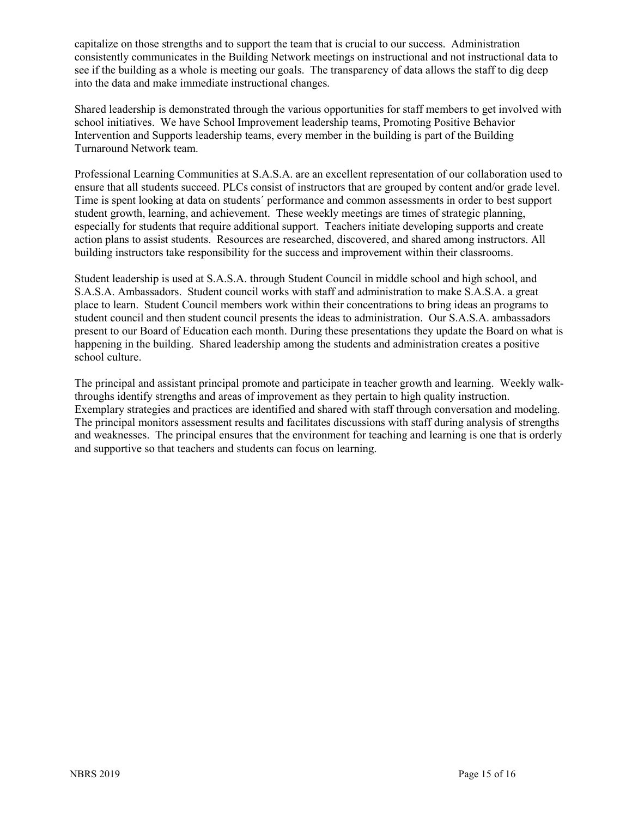capitalize on those strengths and to support the team that is crucial to our success. Administration consistently communicates in the Building Network meetings on instructional and not instructional data to see if the building as a whole is meeting our goals. The transparency of data allows the staff to dig deep into the data and make immediate instructional changes.

Shared leadership is demonstrated through the various opportunities for staff members to get involved with school initiatives. We have School Improvement leadership teams, Promoting Positive Behavior Intervention and Supports leadership teams, every member in the building is part of the Building Turnaround Network team.

Professional Learning Communities at S.A.S.A. are an excellent representation of our collaboration used to ensure that all students succeed. PLCs consist of instructors that are grouped by content and/or grade level. Time is spent looking at data on students´ performance and common assessments in order to best support student growth, learning, and achievement. These weekly meetings are times of strategic planning, especially for students that require additional support. Teachers initiate developing supports and create action plans to assist students. Resources are researched, discovered, and shared among instructors. All building instructors take responsibility for the success and improvement within their classrooms.

Student leadership is used at S.A.S.A. through Student Council in middle school and high school, and S.A.S.A. Ambassadors. Student council works with staff and administration to make S.A.S.A. a great place to learn. Student Council members work within their concentrations to bring ideas an programs to student council and then student council presents the ideas to administration. Our S.A.S.A. ambassadors present to our Board of Education each month. During these presentations they update the Board on what is happening in the building. Shared leadership among the students and administration creates a positive school culture.

The principal and assistant principal promote and participate in teacher growth and learning. Weekly walkthroughs identify strengths and areas of improvement as they pertain to high quality instruction. Exemplary strategies and practices are identified and shared with staff through conversation and modeling. The principal monitors assessment results and facilitates discussions with staff during analysis of strengths and weaknesses. The principal ensures that the environment for teaching and learning is one that is orderly and supportive so that teachers and students can focus on learning.